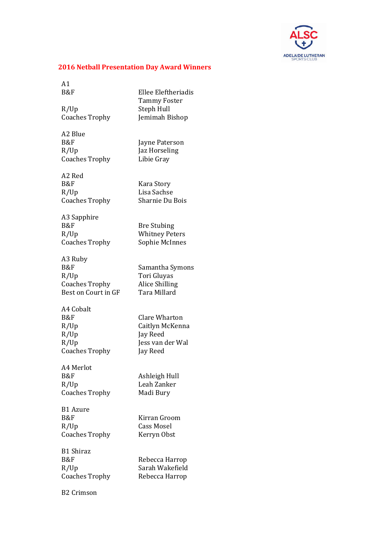

## **2016 Netball Presentation Day Award Winners**

 $A1$ B&F Ellee Eleftheriadis

R/Up Steph Hull<br>Coaches Trophy Jemimah Bishop Coaches Trophy

A2 Blue B&F Jayne Paterson R/Up Coaches Trophy

Jaz Horseling Libie Gray

A2 Red B&F Kara Story R/Up Coaches Trophy

Lisa Sachse Sharnie Du Bois

Tammy Foster

A3 Sapphire B&F Bre Stubing R/Up Whitney Peters Coaches Trophy Sophie McInnes

A3 Ruby B&F Samantha Symons R/Up Tori Gluyas Coaches Trophy Best on Court in GF

A4 Cobalt B&F Clare Wharton R/Up Jay Reed R/Up Coaches Trophy

A4 Merlot B&F Ashleigh Hull R/Up Leah Zanker Coaches Trophy Madi Bury

B1 Azure B&F Kirran Groom R/Up Cass Mosel

B1 Shiraz

R/Up Sarah Wakefield Coaches Trophy Rebecca Harrop

B2 Crimson

Alice Shilling Tara Millard

R/Up Caitlyn McKenna Jess van der Wal Jay Reed

Coaches Trophy Kerryn Obst

B&F Rebecca Harrop